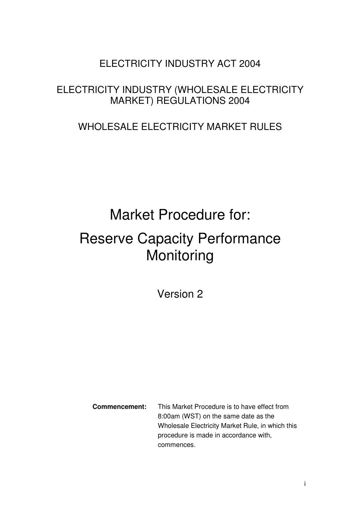# ELECTRICITY INDUSTRY ACT 2004

# ELECTRICITY INDUSTRY (WHOLESALE ELECTRICITY MARKET) REGULATIONS 2004

# WHOLESALE ELECTRICITY MARKET RULES

# Market Procedure for: Reserve Capacity Performance **Monitoring**

Version 2

**Commencement:** This Market Procedure is to have effect from 8:00am (WST) on the same date as the Wholesale Electricity Market Rule, in which this procedure is made in accordance with, commences.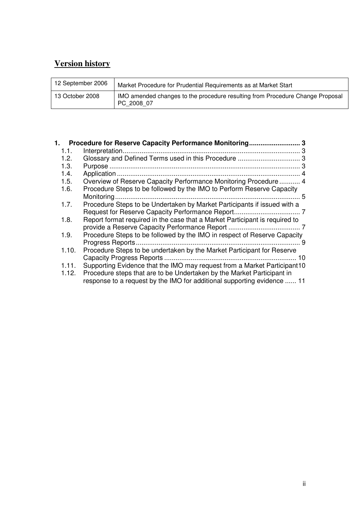## **Version history**

| 12 September 2006 | Market Procedure for Prudential Requirements as at Market Start                             |
|-------------------|---------------------------------------------------------------------------------------------|
| 13 October 2008   | IMO amended changes to the procedure resulting from Procedure Change Proposal<br>PC 2008 07 |

| 1.    | Procedure for Reserve Capacity Performance Monitoring 3                                                                                           |  |
|-------|---------------------------------------------------------------------------------------------------------------------------------------------------|--|
| 1.1.  |                                                                                                                                                   |  |
| 1.2.  |                                                                                                                                                   |  |
| 1.3.  |                                                                                                                                                   |  |
| 1.4.  |                                                                                                                                                   |  |
| 1.5.  | Overview of Reserve Capacity Performance Monitoring Procedure  4                                                                                  |  |
| 1.6.  | Procedure Steps to be followed by the IMO to Perform Reserve Capacity                                                                             |  |
| 1.7.  | Procedure Steps to be Undertaken by Market Participants if issued with a                                                                          |  |
| 1.8.  | Report format required in the case that a Market Participant is required to                                                                       |  |
| 1.9.  | Procedure Steps to be followed by the IMO in respect of Reserve Capacity                                                                          |  |
| 1.10. | Procedure Steps to be undertaken by the Market Participant for Reserve                                                                            |  |
| 1.11. | Supporting Evidence that the IMO may request from a Market Participant 10                                                                         |  |
| 1.12. | Procedure steps that are to be Undertaken by the Market Participant in<br>response to a request by the IMO for additional supporting evidence  11 |  |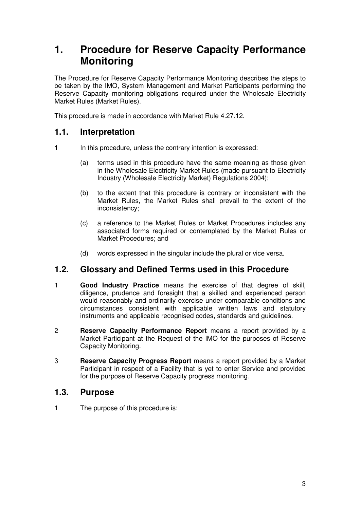# **1. Procedure for Reserve Capacity Performance Monitoring**

The Procedure for Reserve Capacity Performance Monitoring describes the steps to be taken by the IMO, System Management and Market Participants performing the Reserve Capacity monitoring obligations required under the Wholesale Electricity Market Rules (Market Rules).

This procedure is made in accordance with Market Rule 4.27.12.

## **1.1. Interpretation**

- **1 In this procedure, unless the contrary intention is expressed:** 
	- (a) terms used in this procedure have the same meaning as those given in the Wholesale Electricity Market Rules (made pursuant to Electricity Industry (Wholesale Electricity Market) Regulations 2004);
	- (b) to the extent that this procedure is contrary or inconsistent with the Market Rules, the Market Rules shall prevail to the extent of the inconsistency;
	- (c) a reference to the Market Rules or Market Procedures includes any associated forms required or contemplated by the Market Rules or Market Procedures; and
	- (d) words expressed in the singular include the plural or vice versa.

## **1.2. Glossary and Defined Terms used in this Procedure**

- 1 **Good Industry Practice** means the exercise of that degree of skill, diligence, prudence and foresight that a skilled and experienced person would reasonably and ordinarily exercise under comparable conditions and circumstances consistent with applicable written laws and statutory instruments and applicable recognised codes, standards and guidelines.
- 2 **Reserve Capacity Performance Report** means a report provided by a Market Participant at the Request of the IMO for the purposes of Reserve Capacity Monitoring.
- 3 **Reserve Capacity Progress Report** means a report provided by a Market Participant in respect of a Facility that is yet to enter Service and provided for the purpose of Reserve Capacity progress monitoring.

#### **1.3. Purpose**

1 The purpose of this procedure is: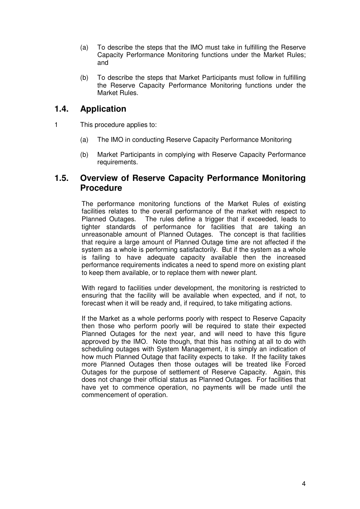- (a) To describe the steps that the IMO must take in fulfilling the Reserve Capacity Performance Monitoring functions under the Market Rules; and
- (b) To describe the steps that Market Participants must follow in fulfilling the Reserve Capacity Performance Monitoring functions under the Market Rules.

## **1.4. Application**

- 1 This procedure applies to:
	- (a) The IMO in conducting Reserve Capacity Performance Monitoring
	- (b) Market Participants in complying with Reserve Capacity Performance requirements.

#### **1.5. Overview of Reserve Capacity Performance Monitoring Procedure**

The performance monitoring functions of the Market Rules of existing facilities relates to the overall performance of the market with respect to Planned Outages. The rules define a trigger that if exceeded, leads to tighter standards of performance for facilities that are taking an unreasonable amount of Planned Outages. The concept is that facilities that require a large amount of Planned Outage time are not affected if the system as a whole is performing satisfactorily. But if the system as a whole is failing to have adequate capacity available then the increased performance requirements indicates a need to spend more on existing plant to keep them available, or to replace them with newer plant.

With regard to facilities under development, the monitoring is restricted to ensuring that the facility will be available when expected, and if not, to forecast when it will be ready and, if required, to take mitigating actions.

If the Market as a whole performs poorly with respect to Reserve Capacity then those who perform poorly will be required to state their expected Planned Outages for the next year, and will need to have this figure approved by the IMO. Note though, that this has nothing at all to do with scheduling outages with System Management, it is simply an indication of how much Planned Outage that facility expects to take. If the facility takes more Planned Outages then those outages will be treated like Forced Outages for the purpose of settlement of Reserve Capacity. Again, this does not change their official status as Planned Outages. For facilities that have yet to commence operation, no payments will be made until the commencement of operation.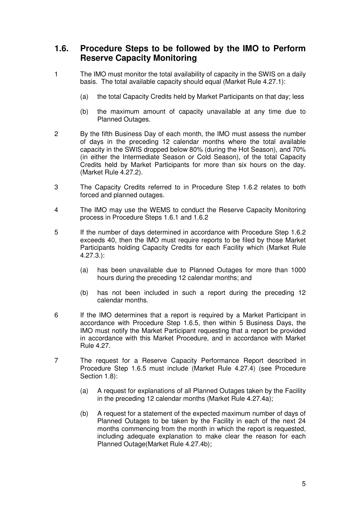## **1.6. Procedure Steps to be followed by the IMO to Perform Reserve Capacity Monitoring**

- 1 The IMO must monitor the total availability of capacity in the SWIS on a daily basis. The total available capacity should equal (Market Rule 4.27.1):
	- (a) the total Capacity Credits held by Market Participants on that day; less
	- (b) the maximum amount of capacity unavailable at any time due to Planned Outages.
- 2 By the fifth Business Day of each month, the IMO must assess the number of days in the preceding 12 calendar months where the total available capacity in the SWIS dropped below 80% (during the Hot Season), and 70% (in either the Intermediate Season or Cold Season), of the total Capacity Credits held by Market Participants for more than six hours on the day. (Market Rule 4.27.2).
- 3 The Capacity Credits referred to in Procedure Step 1.6.2 relates to both forced and planned outages.
- 4 The IMO may use the WEMS to conduct the Reserve Capacity Monitoring process in Procedure Steps 1.6.1 and 1.6.2
- 5 If the number of days determined in accordance with Procedure Step 1.6.2 exceeds 40, then the IMO must require reports to be filed by those Market Participants holding Capacity Credits for each Facility which (Market Rule 4.27.3.):
	- (a) has been unavailable due to Planned Outages for more than 1000 hours during the preceding 12 calendar months; and
	- (b) has not been included in such a report during the preceding 12 calendar months.
- 6 If the IMO determines that a report is required by a Market Participant in accordance with Procedure Step 1.6.5, then within 5 Business Days, the IMO must notify the Market Participant requesting that a report be provided in accordance with this Market Procedure, and in accordance with Market Rule 4.27.
- 7 The request for a Reserve Capacity Performance Report described in Procedure Step 1.6.5 must include (Market Rule 4.27.4) (see Procedure Section 1.8):
	- (a) A request for explanations of all Planned Outages taken by the Facility in the preceding 12 calendar months (Market Rule 4.27.4a);
	- (b) A request for a statement of the expected maximum number of days of Planned Outages to be taken by the Facility in each of the next 24 months commencing from the month in which the report is requested, including adequate explanation to make clear the reason for each Planned Outage(Market Rule 4.27.4b);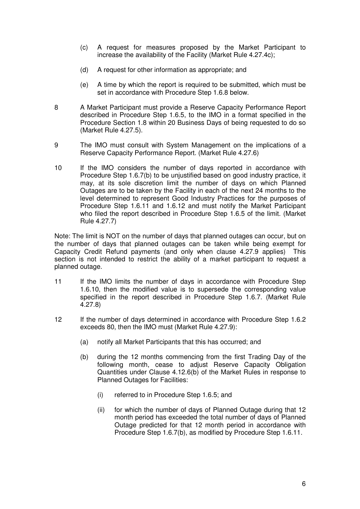- (c) A request for measures proposed by the Market Participant to increase the availability of the Facility (Market Rule 4.27.4c);
- (d) A request for other information as appropriate; and
- (e) A time by which the report is required to be submitted, which must be set in accordance with Procedure Step 1.6.8 below.
- 8 A Market Participant must provide a Reserve Capacity Performance Report described in Procedure Step 1.6.5, to the IMO in a format specified in the Procedure Section 1.8 within 20 Business Days of being requested to do so (Market Rule 4.27.5).
- 9 The IMO must consult with System Management on the implications of a Reserve Capacity Performance Report. (Market Rule 4.27.6)
- 10 If the IMO considers the number of days reported in accordance with Procedure Step 1.6.7(b) to be unjustified based on good industry practice, it may, at its sole discretion limit the number of days on which Planned Outages are to be taken by the Facility in each of the next 24 months to the level determined to represent Good Industry Practices for the purposes of Procedure Step 1.6.11 and 1.6.12 and must notify the Market Participant who filed the report described in Procedure Step 1.6.5 of the limit. (Market Rule 4.27.7)

Note: The limit is NOT on the number of days that planned outages can occur, but on the number of days that planned outages can be taken while being exempt for Capacity Credit Refund payments (and only when clause 4.27.9 applies) This section is not intended to restrict the ability of a market participant to request a planned outage.

- 11 If the IMO limits the number of days in accordance with Procedure Step 1.6.10, then the modified value is to supersede the corresponding value specified in the report described in Procedure Step 1.6.7. (Market Rule 4.27.8)
- 12 If the number of days determined in accordance with Procedure Step 1.6.2 exceeds 80, then the IMO must (Market Rule 4.27.9):
	- (a) notify all Market Participants that this has occurred; and
	- (b) during the 12 months commencing from the first Trading Day of the following month, cease to adjust Reserve Capacity Obligation Quantities under Clause 4.12.6(b) of the Market Rules in response to Planned Outages for Facilities:
		- (i) referred to in Procedure Step 1.6.5; and
		- (ii) for which the number of days of Planned Outage during that 12 month period has exceeded the total number of days of Planned Outage predicted for that 12 month period in accordance with Procedure Step 1.6.7(b), as modified by Procedure Step 1.6.11.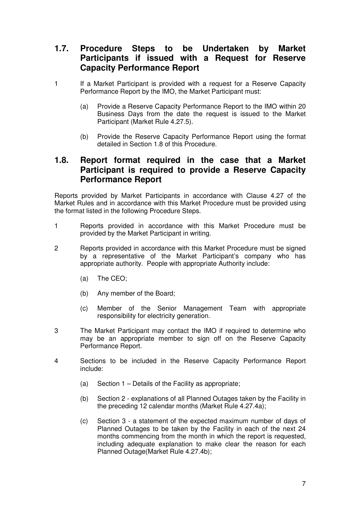## **1.7. Procedure Steps to be Undertaken by Market Participants if issued with a Request for Reserve Capacity Performance Report**

- 1 If a Market Participant is provided with a request for a Reserve Capacity Performance Report by the IMO, the Market Participant must:
	- (a) Provide a Reserve Capacity Performance Report to the IMO within 20 Business Days from the date the request is issued to the Market Participant (Market Rule 4.27.5).
	- (b) Provide the Reserve Capacity Performance Report using the format detailed in Section 1.8 of this Procedure.

#### **1.8. Report format required in the case that a Market Participant is required to provide a Reserve Capacity Performance Report**

Reports provided by Market Participants in accordance with Clause 4.27 of the Market Rules and in accordance with this Market Procedure must be provided using the format listed in the following Procedure Steps.

- 1 Reports provided in accordance with this Market Procedure must be provided by the Market Participant in writing.
- 2 Reports provided in accordance with this Market Procedure must be signed by a representative of the Market Participant's company who has appropriate authority. People with appropriate Authority include:
	- (a) The CEO;
	- (b) Any member of the Board;
	- (c) Member of the Senior Management Team with appropriate responsibility for electricity generation.
- 3 The Market Participant may contact the IMO if required to determine who may be an appropriate member to sign off on the Reserve Capacity Performance Report.
- 4 Sections to be included in the Reserve Capacity Performance Report include:
	- (a) Section 1 Details of the Facility as appropriate;
	- (b) Section 2 explanations of all Planned Outages taken by the Facility in the preceding 12 calendar months (Market Rule 4.27.4a);
	- (c) Section 3 a statement of the expected maximum number of days of Planned Outages to be taken by the Facility in each of the next 24 months commencing from the month in which the report is requested, including adequate explanation to make clear the reason for each Planned Outage(Market Rule 4.27.4b);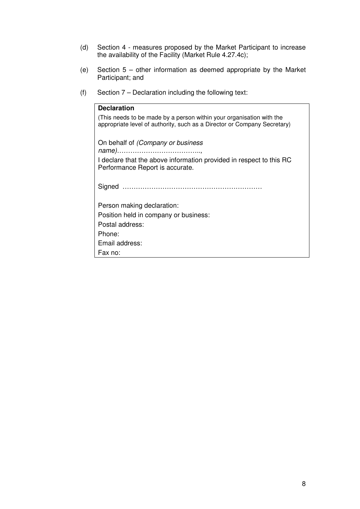- (d) Section 4 measures proposed by the Market Participant to increase the availability of the Facility (Market Rule 4.27.4c);
- (e) Section 5 other information as deemed appropriate by the Market Participant; and
- (f) Section 7 Declaration including the following text:

| <b>Declaration</b>                                                                                                                               |
|--------------------------------------------------------------------------------------------------------------------------------------------------|
| (This needs to be made by a person within your organisation with the<br>appropriate level of authority, such as a Director or Company Secretary) |
| On behalf of <i>(Company or business</i>                                                                                                         |
| I declare that the above information provided in respect to this RC<br>Performance Report is accurate.                                           |
|                                                                                                                                                  |
| Person making declaration:                                                                                                                       |
| Position held in company or business:                                                                                                            |
| Postal address:                                                                                                                                  |
| Phone:                                                                                                                                           |
| Email address:                                                                                                                                   |
| Fax no:                                                                                                                                          |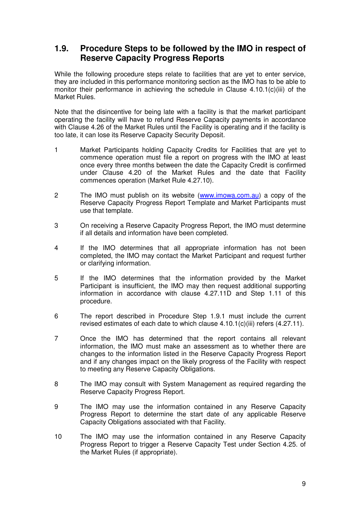## **1.9. Procedure Steps to be followed by the IMO in respect of Reserve Capacity Progress Reports**

While the following procedure steps relate to facilities that are yet to enter service, they are included in this performance monitoring section as the IMO has to be able to monitor their performance in achieving the schedule in Clause 4.10.1(c)(iii) of the Market Rules.

Note that the disincentive for being late with a facility is that the market participant operating the facility will have to refund Reserve Capacity payments in accordance with Clause 4.26 of the Market Rules until the Facility is operating and if the facility is too late, it can lose its Reserve Capacity Security Deposit.

- 1 Market Participants holding Capacity Credits for Facilities that are yet to commence operation must file a report on progress with the IMO at least once every three months between the date the Capacity Credit is confirmed under Clause 4.20 of the Market Rules and the date that Facility commences operation (Market Rule 4.27.10).
- 2 The IMO must publish on its website (www.imowa.com.au) a copy of the Reserve Capacity Progress Report Template and Market Participants must use that template.
- 3 On receiving a Reserve Capacity Progress Report, the IMO must determine if all details and information have been completed.
- 4 If the IMO determines that all appropriate information has not been completed, the IMO may contact the Market Participant and request further or clarifying information.
- 5 If the IMO determines that the information provided by the Market Participant is insufficient, the IMO may then request additional supporting information in accordance with clause 4.27.11D and Step 1.11 of this procedure.
- 6 The report described in Procedure Step 1.9.1 must include the current revised estimates of each date to which clause 4.10.1(c)(iii) refers (4.27.11).
- 7 Once the IMO has determined that the report contains all relevant information, the IMO must make an assessment as to whether there are changes to the information listed in the Reserve Capacity Progress Report and if any changes impact on the likely progress of the Facility with respect to meeting any Reserve Capacity Obligations.
- 8 The IMO may consult with System Management as required regarding the Reserve Capacity Progress Report.
- 9 The IMO may use the information contained in any Reserve Capacity Progress Report to determine the start date of any applicable Reserve Capacity Obligations associated with that Facility.
- 10 The IMO may use the information contained in any Reserve Capacity Progress Report to trigger a Reserve Capacity Test under Section 4.25. of the Market Rules (if appropriate).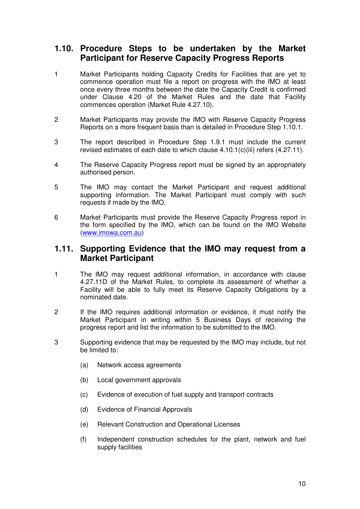## **1.10. Procedure Steps to be undertaken by the Market Participant for Reserve Capacity Progress Reports**

- 1 Market Participants holding Capacity Credits for Facilities that are yet to commence operation must file a report on progress with the IMO at least once every three months between the date the Capacity Credit is confirmed under Clause 4.20 of the Market Rules and the date that Facility commences operation (Market Rule 4.27.10).
- 2 Market Participants may provide the IMO with Reserve Capacity Progress Reports on a more frequent basis than is detailed in Procedure Step 1.10.1.
- 3 The report described in Procedure Step 1.9.1 must include the current revised estimates of each date to which clause 4.10.1(c)(iii) refers (4.27.11).
- 4 The Reserve Capacity Progress report must be signed by an appropriately authorised person.
- 5 The IMO may contact the Market Participant and request additional supporting information. The Market Participant must comply with such requests if made by the IMO.
- 6 Market Participants must provide the Reserve Capacity Progress report in the form specified by the IMO, which can be found on the IMO Website (www.imowa.com.au)

#### **1.11. Supporting Evidence that the IMO may request from a Market Participant**

- 1 The IMO may request additional information, in accordance with clause 4.27.11D of the Market Rules, to complete its assessment of whether a Facility will be able to fully meet its Reserve Capacity Obligations by a nominated date.
- 2 If the IMO requires additional information or evidence, it must notify the Market Participant in writing within 5 Business Days of receiving the progress report and list the information to be submitted to the IMO.
- 3 Supporting evidence that may be requested by the IMO may include, but not be limited to:
	- (a) Network access agreements
	- (b) Local government approvals
	- (c) Evidence of execution of fuel supply and transport contracts
	- (d) Evidence of Financial Approvals
	- (e) Relevant Construction and Operational Licenses
	- (f) Independent construction schedules for the plant, network and fuel supply facilities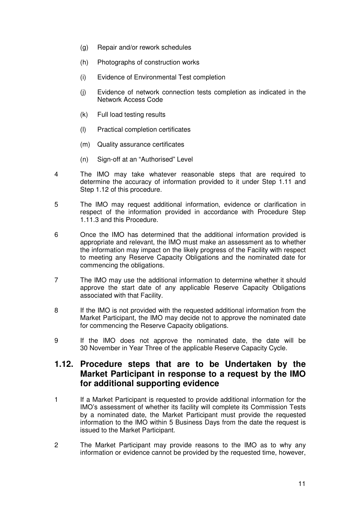- (g) Repair and/or rework schedules
- (h) Photographs of construction works
- (i) Evidence of Environmental Test completion
- (j) Evidence of network connection tests completion as indicated in the Network Access Code
- (k) Full load testing results
- (l) Practical completion certificates
- (m) Quality assurance certificates
- (n) Sign-off at an "Authorised" Level
- 4 The IMO may take whatever reasonable steps that are required to determine the accuracy of information provided to it under Step 1.11 and Step 1.12 of this procedure.
- 5 The IMO may request additional information, evidence or clarification in respect of the information provided in accordance with Procedure Step 1.11.3 and this Procedure.
- 6 Once the IMO has determined that the additional information provided is appropriate and relevant, the IMO must make an assessment as to whether the information may impact on the likely progress of the Facility with respect to meeting any Reserve Capacity Obligations and the nominated date for commencing the obligations.
- 7 The IMO may use the additional information to determine whether it should approve the start date of any applicable Reserve Capacity Obligations associated with that Facility.
- 8 If the IMO is not provided with the requested additional information from the Market Participant, the IMO may decide not to approve the nominated date for commencing the Reserve Capacity obligations.
- 9 If the IMO does not approve the nominated date, the date will be 30 November in Year Three of the applicable Reserve Capacity Cycle.

#### **1.12. Procedure steps that are to be Undertaken by the Market Participant in response to a request by the IMO for additional supporting evidence**

- 1 If a Market Participant is requested to provide additional information for the IMO's assessment of whether its facility will complete its Commission Tests by a nominated date, the Market Participant must provide the requested information to the IMO within 5 Business Days from the date the request is issued to the Market Participant.
- 2 The Market Participant may provide reasons to the IMO as to why any information or evidence cannot be provided by the requested time, however,